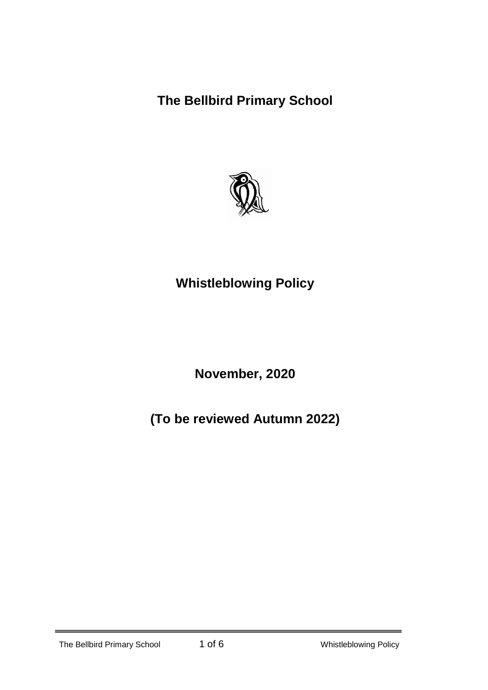**The Bellbird Primary School**



# **Whistleblowing Policy**

**November, 2020**

**(To be reviewed Autumn 2022)**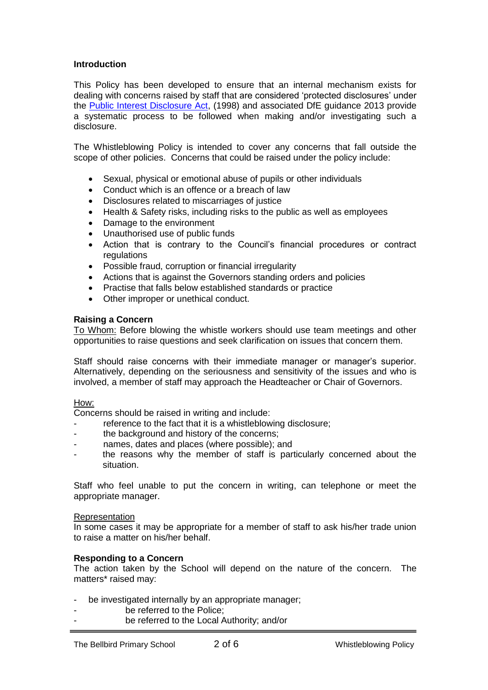## **Introduction**

This Policy has been developed to ensure that an internal mechanism exists for dealing with concerns raised by staff that are considered 'protected disclosures' under the Public Interest Disclosure Act, (1998) and associated DfE guidance 2013 provide a systematic process to be followed when making and/or investigating such a disclosure.

The Whistleblowing Policy is intended to cover any concerns that fall outside the scope of other policies. Concerns that could be raised under the policy include:

- Sexual, physical or emotional abuse of pupils or other individuals
- Conduct which is an offence or a breach of law
- Disclosures related to miscarriages of justice
- Health & Safety risks, including risks to the public as well as employees
- Damage to the environment
- Unauthorised use of public funds
- Action that is contrary to the Council's financial procedures or contract regulations
- Possible fraud, corruption or financial irregularity
- Actions that is against the Governors standing orders and policies
- Practise that falls below established standards or practice
- Other improper or unethical conduct.

## **Raising a Concern**

To Whom: Before blowing the whistle workers should use team meetings and other opportunities to raise questions and seek clarification on issues that concern them.

Staff should raise concerns with their immediate manager or manager's superior. Alternatively, depending on the seriousness and sensitivity of the issues and who is involved, a member of staff may approach the Headteacher or Chair of Governors.

## How:

Concerns should be raised in writing and include:

- reference to the fact that it is a whistleblowing disclosure;
- the background and history of the concerns;
- names, dates and places (where possible); and
- the reasons why the member of staff is particularly concerned about the situation.

Staff who feel unable to put the concern in writing, can telephone or meet the appropriate manager.

#### Representation

In some cases it may be appropriate for a member of staff to ask his/her trade union to raise a matter on his/her behalf.

## **Responding to a Concern**

The action taken by the School will depend on the nature of the concern. The matters\* raised may:

- be investigated internally by an appropriate manager;
- be referred to the Police:
- be referred to the Local Authority; and/or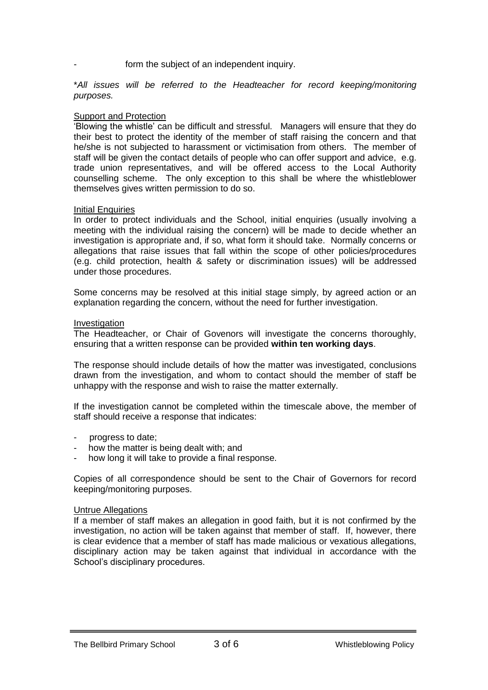form the subject of an independent inquiry.

\**All issues will be referred to the Headteacher for record keeping/monitoring purposes.*

## **Support and Protection**

'Blowing the whistle' can be difficult and stressful. Managers will ensure that they do their best to protect the identity of the member of staff raising the concern and that he/she is not subjected to harassment or victimisation from others. The member of staff will be given the contact details of people who can offer support and advice, e.g. trade union representatives, and will be offered access to the Local Authority counselling scheme. The only exception to this shall be where the whistleblower themselves gives written permission to do so.

#### Initial Enquiries

In order to protect individuals and the School, initial enquiries (usually involving a meeting with the individual raising the concern) will be made to decide whether an investigation is appropriate and, if so, what form it should take. Normally concerns or allegations that raise issues that fall within the scope of other policies/procedures (e.g. child protection, health & safety or discrimination issues) will be addressed under those procedures.

Some concerns may be resolved at this initial stage simply, by agreed action or an explanation regarding the concern, without the need for further investigation.

#### Investigation

The Headteacher, or Chair of Govenors will investigate the concerns thoroughly, ensuring that a written response can be provided **within ten working days**.

The response should include details of how the matter was investigated, conclusions drawn from the investigation, and whom to contact should the member of staff be unhappy with the response and wish to raise the matter externally.

If the investigation cannot be completed within the timescale above, the member of staff should receive a response that indicates:

- progress to date;
- how the matter is being dealt with; and
- how long it will take to provide a final response.

Copies of all correspondence should be sent to the Chair of Governors for record keeping/monitoring purposes.

#### Untrue Allegations

If a member of staff makes an allegation in good faith, but it is not confirmed by the investigation, no action will be taken against that member of staff. If, however, there is clear evidence that a member of staff has made malicious or vexatious allegations, disciplinary action may be taken against that individual in accordance with the School's disciplinary procedures.

The Bellbird Primary School **3 of 6** Whistleblowing Policy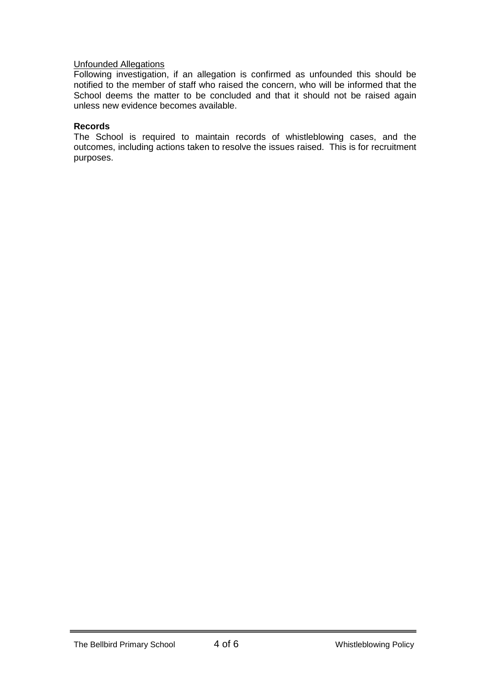## Unfounded Allegations

Following investigation, if an allegation is confirmed as unfounded this should be notified to the member of staff who raised the concern, who will be informed that the School deems the matter to be concluded and that it should not be raised again unless new evidence becomes available.

#### **Records**

The School is required to maintain records of whistleblowing cases, and the outcomes, including actions taken to resolve the issues raised. This is for recruitment purposes.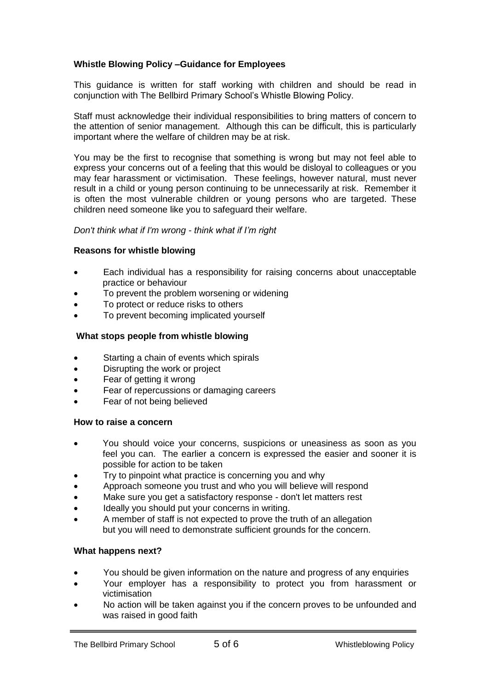# **Whistle Blowing Policy –Guidance for Employees**

This guidance is written for staff working with children and should be read in conjunction with The Bellbird Primary School's Whistle Blowing Policy.

Staff must acknowledge their individual responsibilities to bring matters of concern to the attention of senior management. Although this can be difficult, this is particularly important where the welfare of children may be at risk.

You may be the first to recognise that something is wrong but may not feel able to express your concerns out of a feeling that this would be disloyal to colleagues or you may fear harassment or victimisation. These feelings, however natural, must never result in a child or young person continuing to be unnecessarily at risk. Remember it is often the most vulnerable children or young persons who are targeted. These children need someone like you to safeguard their welfare.

## *Don't think what if I'm wrong - think what if I'm right*

#### **Reasons for whistle blowing**

- Each individual has a responsibility for raising concerns about unacceptable practice or behaviour
- To prevent the problem worsening or widening
- To protect or reduce risks to others
- To prevent becoming implicated yourself

## **What stops people from whistle blowing**

- Starting a chain of events which spirals
- Disrupting the work or project
- Fear of getting it wrong
- Fear of repercussions or damaging careers
- Fear of not being believed

## **How to raise a concern**

- You should voice your concerns, suspicions or uneasiness as soon as you feel you can. The earlier a concern is expressed the easier and sooner it is possible for action to be taken
- Try to pinpoint what practice is concerning you and why
- Approach someone you trust and who you will believe will respond
- Make sure you get a satisfactory response don't let matters rest
- Ideally you should put your concerns in writing.
- A member of staff is not expected to prove the truth of an allegation but you will need to demonstrate sufficient grounds for the concern.

## **What happens next?**

- You should be given information on the nature and progress of any enquiries
- Your employer has a responsibility to protect you from harassment or victimisation
- No action will be taken against you if the concern proves to be unfounded and was raised in good faith